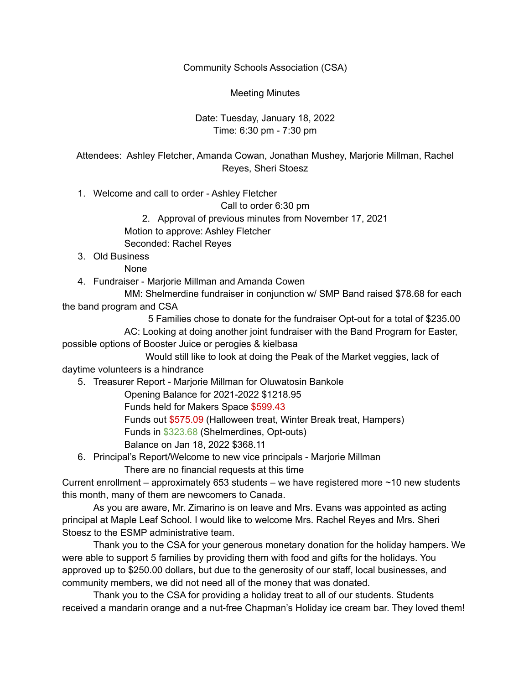Community Schools Association (CSA)

Meeting Minutes

Date: Tuesday, January 18, 2022 Time: 6:30 pm - 7:30 pm

Attendees: Ashley Fletcher, Amanda Cowan, Jonathan Mushey, Marjorie Millman, Rachel Reyes, Sheri Stoesz

1. Welcome and call to order - Ashley Fletcher

Call to order 6:30 pm

2. Approval of previous minutes from November 17, 2021

Motion to approve: Ashley Fletcher

Seconded: Rachel Reyes

3. Old Business

None

4. Fundraiser - Marjorie Millman and Amanda Cowen

MM: Shelmerdine fundraiser in conjunction w/ SMP Band raised \$78.68 for each the band program and CSA

5 Families chose to donate for the fundraiser Opt-out for a total of \$235.00 AC: Looking at doing another joint fundraiser with the Band Program for Easter, possible options of Booster Juice or perogies & kielbasa

Would still like to look at doing the Peak of the Market veggies, lack of daytime volunteers is a hindrance

5. Treasurer Report - Marjorie Millman for Oluwatosin Bankole

Opening Balance for 2021-2022 \$1218.95

Funds held for Makers Space \$599.43

Funds out \$575.09 (Halloween treat, Winter Break treat, Hampers)

Funds in \$323.68 (Shelmerdines, Opt-outs)

Balance on Jan 18, 2022 \$368.11

6. Principal's Report/Welcome to new vice principals - Marjorie Millman

There are no financial requests at this time

Current enrollment – approximately 653 students – we have registered more  $\sim$  10 new students this month, many of them are newcomers to Canada.

As you are aware, Mr. Zimarino is on leave and Mrs. Evans was appointed as acting principal at Maple Leaf School. I would like to welcome Mrs. Rachel Reyes and Mrs. Sheri Stoesz to the ESMP administrative team.

Thank you to the CSA for your generous monetary donation for the holiday hampers. We were able to support 5 families by providing them with food and gifts for the holidays. You approved up to \$250.00 dollars, but due to the generosity of our staff, local businesses, and community members, we did not need all of the money that was donated.

Thank you to the CSA for providing a holiday treat to all of our students. Students received a mandarin orange and a nut-free Chapman's Holiday ice cream bar. They loved them!